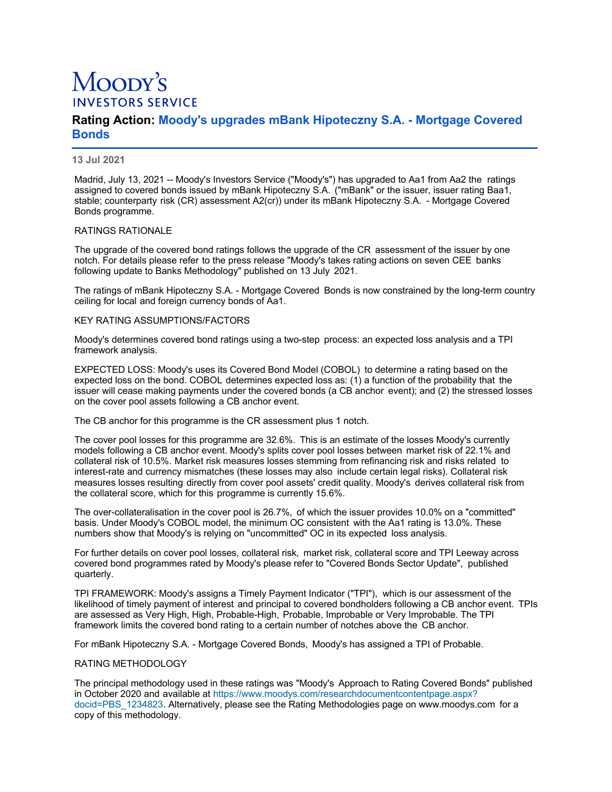# Moopy's **INVESTORS SERVICE**

## **Rating Action: Moody's upgrades mBank Hipoteczny S.A. - Mortgage Covered Bonds**

### **13 Jul 2021**

Madrid, July 13, 2021 -- Moody's Investors Service ("Moody's") has upgraded to Aa1 from Aa2 the ratings assigned to covered bonds issued by mBank Hipoteczny S.A. ("mBank" or the issuer, issuer rating Baa1, stable; counterparty risk (CR) assessment A2(cr)) under its mBank Hipoteczny S.A. - Mortgage Covered Bonds programme.

#### RATINGS RATIONALE

The upgrade of the covered bond ratings follows the upgrade of the CR assessment of the issuer by one notch. For details please refer to the press release "Moody's takes rating actions on seven CEE banks following update to Banks Methodology" published on 13 July 2021.

The ratings of mBank Hipoteczny S.A. - Mortgage Covered Bonds is now constrained by the long-term country ceiling for local and foreign currency bonds of Aa1.

#### KEY RATING ASSUMPTIONS/FACTORS

Moody's determines covered bond ratings using a two-step process: an expected loss analysis and a TPI framework analysis.

EXPECTED LOSS: Moody's uses its Covered Bond Model (COBOL) to determine a rating based on the expected loss on the bond. COBOL determines expected loss as: (1) a function of the probability that the issuer will cease making payments under the covered bonds (a CB anchor event); and (2) the stressed losses on the cover pool assets following a CB anchor event.

The CB anchor for this programme is the CR assessment plus 1 notch.

The cover pool losses for this programme are 32.6%. This is an estimate of the losses Moody's currently models following a CB anchor event. Moody's splits cover pool losses between market risk of 22.1% and collateral risk of 10.5%. Market risk measures losses stemming from refinancing risk and risks related to interest-rate and currency mismatches (these losses may also include certain legal risks). Collateral risk measures losses resulting directly from cover pool assets' credit quality. Moody's derives collateral risk from the collateral score, which for this programme is currently 15.6%.

The over-collateralisation in the cover pool is 26.7%, of which the issuer provides 10.0% on a "committed" basis. Under Moody's COBOL model, the minimum OC consistent with the Aa1 rating is 13.0%. These numbers show that Moody's is relying on "uncommitted" OC in its expected loss analysis.

For further details on cover pool losses, collateral risk, market risk, collateral score and TPI Leeway across covered bond programmes rated by Moody's please refer to "Covered Bonds Sector Update", published quarterly.

TPI FRAMEWORK: Moody's assigns a Timely Payment Indicator ("TPI"), which is our assessment of the likelihood of timely payment of interest and principal to covered bondholders following a CB anchor event. TPIs are assessed as Very High, High, Probable-High, Probable, Improbable or Very Improbable. The TPI framework limits the covered bond rating to a certain number of notches above the CB anchor.

For mBank Hipoteczny S.A. - Mortgage Covered Bonds, Moody's has assigned a TPI of Probable.

#### RATING METHODOLOGY

The principal methodology used in these ratings was "Moody's Approach to Rating Covered Bonds" published [in October 2020 and available at https://www.moodys.com/researchdocumentcontentpage.aspx?](https://www.moodys.com/researchdocumentcontentpage.aspx?docid=PBS_1234823) docid=PBS 1234823. Alternatively, please see the Rating Methodologies page on www.moodys.com for a copy of this methodology.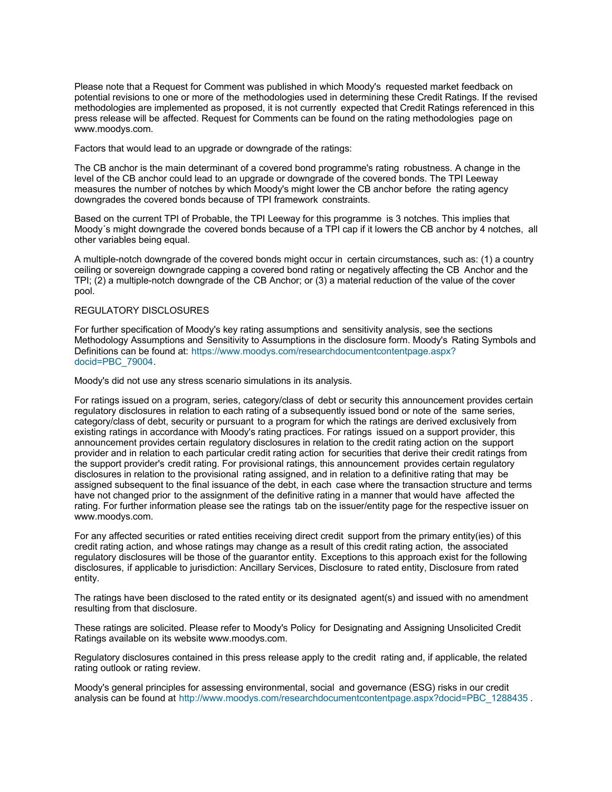Please note that a Request for Comment was published in which Moody's requested market feedback on potential revisions to one or more of the methodologies used in determining these Credit Ratings. If the revised methodologies are implemented as proposed, it is not currently expected that Credit Ratings referenced in this press release will be affected. Request for Comments can be found on the rating methodologies page on www.moodys.com.

Factors that would lead to an upgrade or downgrade of the ratings:

The CB anchor is the main determinant of a covered bond programme's rating robustness. A change in the level of the CB anchor could lead to an upgrade or downgrade of the covered bonds. The TPI Leeway measures the number of notches by which Moody's might lower the CB anchor before the rating agency downgrades the covered bonds because of TPI framework constraints.

Based on the current TPI of Probable, the TPI Leeway for this programme is 3 notches. This implies that Moody´s might downgrade the covered bonds because of a TPI cap if it lowers the CB anchor by 4 notches, all other variables being equal.

A multiple-notch downgrade of the covered bonds might occur in certain circumstances, such as: (1) a country ceiling or sovereign downgrade capping a covered bond rating or negatively affecting the CB Anchor and the TPI; (2) a multiple-notch downgrade of the CB Anchor; or (3) a material reduction of the value of the cover pool.

#### REGULATORY DISCLOSURES

For further specification of Moody's key rating assumptions and sensitivity analysis, see the sections Methodology Assumptions and Sensitivity to Assumptions in the disclosure form. Moody's Rating Symbols and [Definitions can be found at: https://www.moodys.com/researchdocumentcontentpage.aspx?](https://www.moodys.com/researchdocumentcontentpage.aspx?docid=PBC_79004) docid=PBC\_79004.

Moody's did not use any stress scenario simulations in its analysis.

For ratings issued on a program, series, category/class of debt or security this announcement provides certain regulatory disclosures in relation to each rating of a subsequently issued bond or note of the same series, category/class of debt, security or pursuant to a program for which the ratings are derived exclusively from existing ratings in accordance with Moody's rating practices. For ratings issued on a support provider, this announcement provides certain regulatory disclosures in relation to the credit rating action on the support provider and in relation to each particular credit rating action for securities that derive their credit ratings from the support provider's credit rating. For provisional ratings, this announcement provides certain regulatory disclosures in relation to the provisional rating assigned, and in relation to a definitive rating that may be assigned subsequent to the final issuance of the debt, in each case where the transaction structure and terms have not changed prior to the assignment of the definitive rating in a manner that would have affected the rating. For further information please see the ratings tab on the issuer/entity page for the respective issuer on www.moodys.com.

For any affected securities or rated entities receiving direct credit support from the primary entity(ies) of this credit rating action, and whose ratings may change as a result of this credit rating action, the associated regulatory disclosures will be those of the guarantor entity. Exceptions to this approach exist for the following disclosures, if applicable to jurisdiction: Ancillary Services, Disclosure to rated entity, Disclosure from rated entity.

The ratings have been disclosed to the rated entity or its designated agent(s) and issued with no amendment resulting from that disclosure.

These ratings are solicited. Please refer to Moody's Policy for Designating and Assigning Unsolicited Credit Ratings available on its website www.moodys.com.

Regulatory disclosures contained in this press release apply to the credit rating and, if applicable, the related rating outlook or rating review.

Moody's general principles for assessing environmental, social and governance (ESG) risks in our credit analysis can be found at [http://www.moodys.com/researchdocumentcontentpage.aspx?docid=PBC\\_1288435](http://www.moodys.com/researchdocumentcontentpage.aspx?docid=PBC_1288435).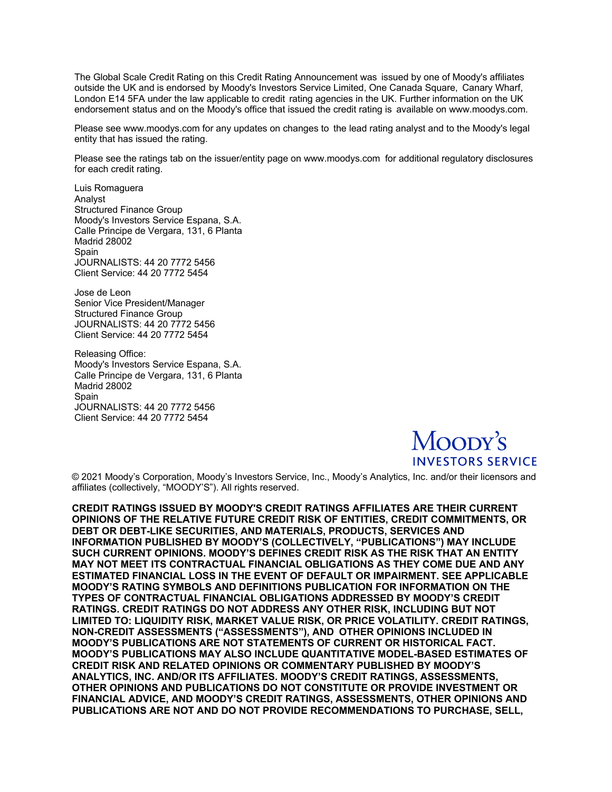The Global Scale Credit Rating on this Credit Rating Announcement was issued by one of Moody's affiliates outside the UK and is endorsed by Moody's Investors Service Limited, One Canada Square, Canary Wharf, London E14 5FA under the law applicable to credit rating agencies in the UK. Further information on the UK endorsement status and on the Moody's office that issued the credit rating is available on www.moodys.com.

Please see www.moodys.com for any updates on changes to the lead rating analyst and to the Moody's legal entity that has issued the rating.

Please see the ratings tab on the issuer/entity page on www.moodys.com for additional regulatory disclosures for each credit rating.

Luis Romaguera Analyst Structured Finance Group Moody's Investors Service Espana, S.A. Calle Principe de Vergara, 131, 6 Planta Madrid 28002 **Spain** JOURNALISTS: 44 20 7772 5456 Client Service: 44 20 7772 5454

Jose de Leon Senior Vice President/Manager Structured Finance Group JOURNALISTS: 44 20 7772 5456 Client Service: 44 20 7772 5454

Releasing Office: Moody's Investors Service Espana, S.A. Calle Principe de Vergara, 131, 6 Planta Madrid 28002 **Spain** JOURNALISTS: 44 20 7772 5456 Client Service: 44 20 7772 5454



© 2021 Moody's Corporation, Moody's Investors Service, Inc., Moody's Analytics, Inc. and/or their licensors and affiliates (collectively, "MOODY'S"). All rights reserved.

**CREDIT RATINGS ISSUED BY MOODY'S CREDIT RATINGS AFFILIATES ARE THEIR CURRENT OPINIONS OF THE RELATIVE FUTURE CREDIT RISK OF ENTITIES, CREDIT COMMITMENTS, OR DEBT OR DEBT-LIKE SECURITIES, AND MATERIALS, PRODUCTS, SERVICES AND INFORMATION PUBLISHED BY MOODY'S (COLLECTIVELY, "PUBLICATIONS") MAY INCLUDE SUCH CURRENT OPINIONS. MOODY'S DEFINES CREDIT RISK AS THE RISK THAT AN ENTITY MAY NOT MEET ITS CONTRACTUAL FINANCIAL OBLIGATIONS AS THEY COME DUE AND ANY ESTIMATED FINANCIAL LOSS IN THE EVENT OF DEFAULT OR IMPAIRMENT. SEE APPLICABLE MOODY'S RATING SYMBOLS AND DEFINITIONS PUBLICATION FOR INFORMATION ON THE TYPES OF CONTRACTUAL FINANCIAL OBLIGATIONS ADDRESSED BY MOODY'S CREDIT RATINGS. CREDIT RATINGS DO NOT ADDRESS ANY OTHER RISK, INCLUDING BUT NOT LIMITED TO: LIQUIDITY RISK, MARKET VALUE RISK, OR PRICE VOLATILITY. CREDIT RATINGS, NON-CREDIT ASSESSMENTS ("ASSESSMENTS"), AND OTHER OPINIONS INCLUDED IN MOODY'S PUBLICATIONS ARE NOT STATEMENTS OF CURRENT OR HISTORICAL FACT. MOODY'S PUBLICATIONS MAY ALSO INCLUDE QUANTITATIVE MODEL-BASED ESTIMATES OF CREDIT RISK AND RELATED OPINIONS OR COMMENTARY PUBLISHED BY MOODY'S ANALYTICS, INC. AND/OR ITS AFFILIATES. MOODY'S CREDIT RATINGS, ASSESSMENTS, OTHER OPINIONS AND PUBLICATIONS DO NOT CONSTITUTE OR PROVIDE INVESTMENT OR FINANCIAL ADVICE, AND MOODY'S CREDIT RATINGS, ASSESSMENTS, OTHER OPINIONS AND PUBLICATIONS ARE NOT AND DO NOT PROVIDE RECOMMENDATIONS TO PURCHASE, SELL,**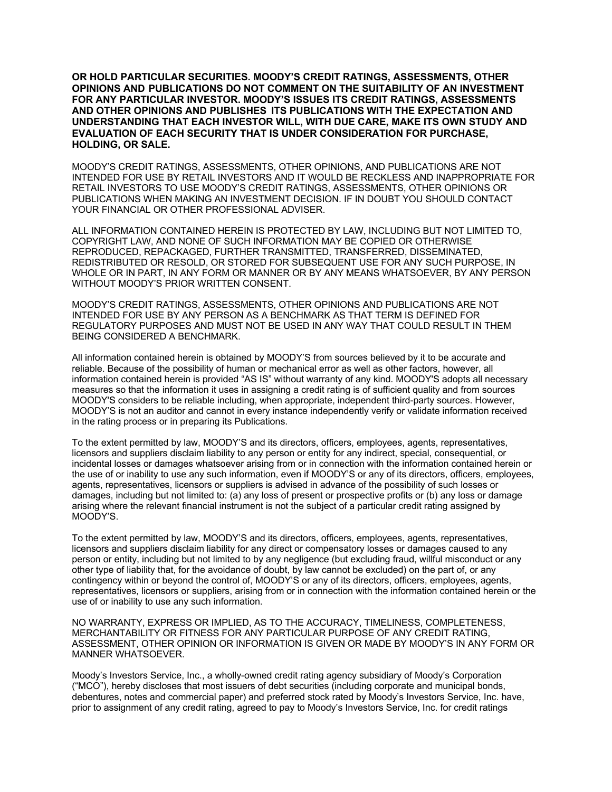**OR HOLD PARTICULAR SECURITIES. MOODY'S CREDIT RATINGS, ASSESSMENTS, OTHER OPINIONS AND PUBLICATIONS DO NOT COMMENT ON THE SUITABILITY OF AN INVESTMENT FOR ANY PARTICULAR INVESTOR. MOODY'S ISSUES ITS CREDIT RATINGS, ASSESSMENTS AND OTHER OPINIONS AND PUBLISHES ITS PUBLICATIONS WITH THE EXPECTATION AND UNDERSTANDING THAT EACH INVESTOR WILL, WITH DUE CARE, MAKE ITS OWN STUDY AND EVALUATION OF EACH SECURITY THAT IS UNDER CONSIDERATION FOR PURCHASE, HOLDING, OR SALE.** 

MOODY'S CREDIT RATINGS, ASSESSMENTS, OTHER OPINIONS, AND PUBLICATIONS ARE NOT INTENDED FOR USE BY RETAIL INVESTORS AND IT WOULD BE RECKLESS AND INAPPROPRIATE FOR RETAIL INVESTORS TO USE MOODY'S CREDIT RATINGS, ASSESSMENTS, OTHER OPINIONS OR PUBLICATIONS WHEN MAKING AN INVESTMENT DECISION. IF IN DOUBT YOU SHOULD CONTACT YOUR FINANCIAL OR OTHER PROFESSIONAL ADVISER.

ALL INFORMATION CONTAINED HEREIN IS PROTECTED BY LAW, INCLUDING BUT NOT LIMITED TO, COPYRIGHT LAW, AND NONE OF SUCH INFORMATION MAY BE COPIED OR OTHERWISE REPRODUCED, REPACKAGED, FURTHER TRANSMITTED, TRANSFERRED, DISSEMINATED, REDISTRIBUTED OR RESOLD, OR STORED FOR SUBSEQUENT USE FOR ANY SUCH PURPOSE, IN WHOLE OR IN PART, IN ANY FORM OR MANNER OR BY ANY MEANS WHATSOEVER, BY ANY PERSON WITHOUT MOODY'S PRIOR WRITTEN CONSENT.

MOODY'S CREDIT RATINGS, ASSESSMENTS, OTHER OPINIONS AND PUBLICATIONS ARE NOT INTENDED FOR USE BY ANY PERSON AS A BENCHMARK AS THAT TERM IS DEFINED FOR REGULATORY PURPOSES AND MUST NOT BE USED IN ANY WAY THAT COULD RESULT IN THEM BEING CONSIDERED A BENCHMARK.

All information contained herein is obtained by MOODY'S from sources believed by it to be accurate and reliable. Because of the possibility of human or mechanical error as well as other factors, however, all information contained herein is provided "AS IS" without warranty of any kind. MOODY'S adopts all necessary measures so that the information it uses in assigning a credit rating is of sufficient quality and from sources MOODY'S considers to be reliable including, when appropriate, independent third-party sources. However, MOODY'S is not an auditor and cannot in every instance independently verify or validate information received in the rating process or in preparing its Publications.

To the extent permitted by law, MOODY'S and its directors, officers, employees, agents, representatives, licensors and suppliers disclaim liability to any person or entity for any indirect, special, consequential, or incidental losses or damages whatsoever arising from or in connection with the information contained herein or the use of or inability to use any such information, even if MOODY'S or any of its directors, officers, employees, agents, representatives, licensors or suppliers is advised in advance of the possibility of such losses or damages, including but not limited to: (a) any loss of present or prospective profits or (b) any loss or damage arising where the relevant financial instrument is not the subject of a particular credit rating assigned by MOODY'S.

To the extent permitted by law, MOODY'S and its directors, officers, employees, agents, representatives, licensors and suppliers disclaim liability for any direct or compensatory losses or damages caused to any person or entity, including but not limited to by any negligence (but excluding fraud, willful misconduct or any other type of liability that, for the avoidance of doubt, by law cannot be excluded) on the part of, or any contingency within or beyond the control of, MOODY'S or any of its directors, officers, employees, agents, representatives, licensors or suppliers, arising from or in connection with the information contained herein or the use of or inability to use any such information.

NO WARRANTY, EXPRESS OR IMPLIED, AS TO THE ACCURACY, TIMELINESS, COMPLETENESS, MERCHANTABILITY OR FITNESS FOR ANY PARTICULAR PURPOSE OF ANY CREDIT RATING, ASSESSMENT, OTHER OPINION OR INFORMATION IS GIVEN OR MADE BY MOODY'S IN ANY FORM OR MANNER WHATSOEVER.

Moody's Investors Service, Inc., a wholly-owned credit rating agency subsidiary of Moody's Corporation ("MCO"), hereby discloses that most issuers of debt securities (including corporate and municipal bonds, debentures, notes and commercial paper) and preferred stock rated by Moody's Investors Service, Inc. have, prior to assignment of any credit rating, agreed to pay to Moody's Investors Service, Inc. for credit ratings